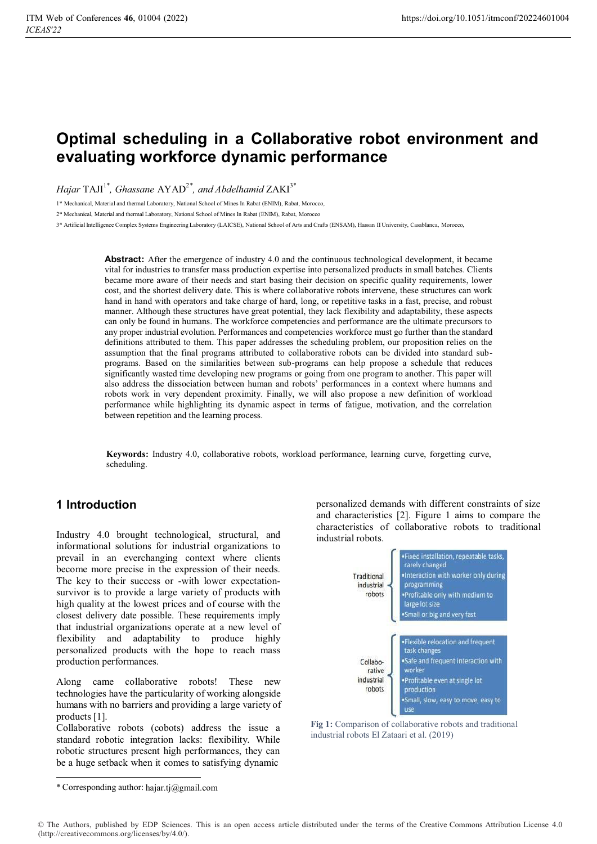# **Optimal scheduling in a Collaborative robot environment and evaluating workforce dynamic performance**

*Hajar*  $TAM^{1*}$ *, Ghassane AYAD<sup>2</sup><sup>\*</sup>, and Abdelhamid*  $ZAKI^{3*}$ 

1\* Mechanical, Material and thermal Laboratory, National School of Mines In Rabat (ENIM), Rabat, Morocco,

2\* Mechanical, Material and thermal Laboratory, National School of Mines In Rabat (ENIM), Rabat, Morocco

3\* Artificial Intelligence Complex Systems Engineering Laboratory (LAICSE), National School of Arts and Crafts (ENSAM), Hassan II University, Casablanca, Morocco,

**Abstract:** After the emergence of industry 4.0 and the continuous technological development, it became vital for industries to transfer mass production expertise into personalized products in small batches. Clients became more aware of their needs and start basing their decision on specific quality requirements, lower cost, and the shortest delivery date. This is where collaborative robots intervene, these structures can work hand in hand with operators and take charge of hard, long, or repetitive tasks in a fast, precise, and robust manner. Although these structures have great potential, they lack flexibility and adaptability, these aspects can only be found in humans. The workforce competencies and performance are the ultimate precursors to any proper industrial evolution. Performances and competencies workforce must go further than the standard definitions attributed to them. This paper addresses the scheduling problem, our proposition relies on the assumption that the final programs attributed to collaborative robots can be divided into standard subprograms. Based on the similarities between sub-programs can help propose a schedule that reduces significantly wasted time developing new programs or going from one program to another. This paper will also address the dissociation between human and robots' performances in a context where humans and robots work in very dependent proximity. Finally, we will also propose a new definition of workload performance while highlighting its dynamic aspect in terms of fatigue, motivation, and the correlation between repetition and the learning process.

**Keywords:** Industry 4.0, collaborative robots, workload performance, learning curve, forgetting curve, scheduling.

### **1 Introduction**

Industry 4.0 brought technological, structural, and informational solutions for industrial organizations to prevail in an everchanging context where clients become more precise in the expression of their needs. The key to their success or -with lower expectationsurvivor is to provide a large variety of products with high quality at the lowest prices and of course with the closest delivery date possible. These requirements imply that industrial organizations operate at a new level of flexibility and adaptability to produce highly personalized products with the hope to reach mass production performances.

Along came collaborative robots! These new technologies have the particularity of working alongside humans with no barriers and providing a large variety of products [1].

Collaborative robots (cobots) address the issue a standard robotic integration lacks: flexibility. While robotic structures present high performances, they can be a huge setback when it comes to satisfying dynamic

personalized demands with different constraints of size and characteristics [2]. Figure 1 aims to compare the characteristics of collaborative robots to traditional industrial robots.



Fig 1: Comparison of collaborative robots and traditional industrial robots El Zataari et al. (2019)

<sup>\*</sup> Corresponding author: hajar.tj@gmail.com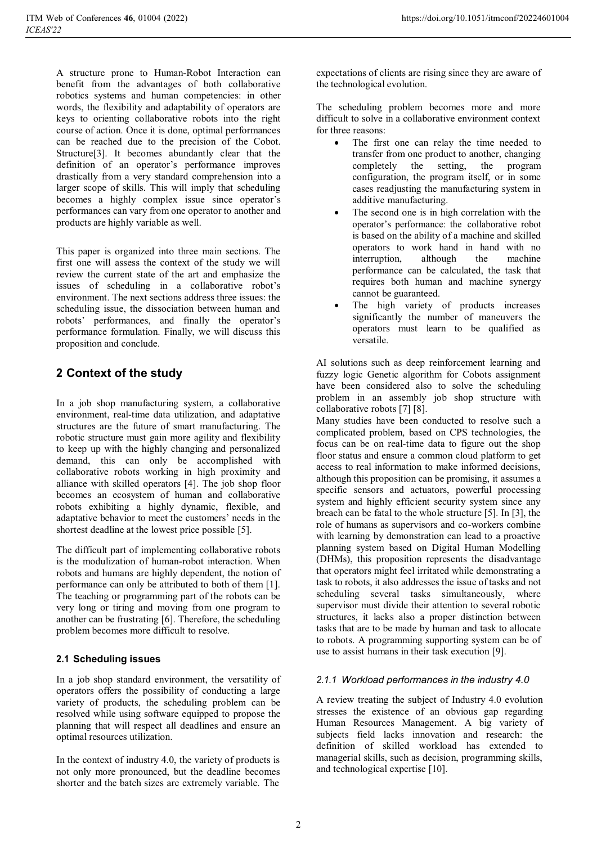A structure prone to Human-Robot Interaction can benefit from the advantages of both collaborative robotics systems and human competencies: in other words, the flexibility and adaptability of operators are keys to orienting collaborative robots into the right course of action. Once it is done, optimal performances can be reached due to the precision of the Cobot. Structure[3]. It becomes abundantly clear that the definition of an operator's performance improves drastically from a very standard comprehension into a larger scope of skills. This will imply that scheduling becomes a highly complex issue since operator's performances can vary from one operator to another and products are highly variable as well.

This paper is organized into three main sections. The first one will assess the context of the study we will review the current state of the art and emphasize the issues of scheduling in a collaborative robot's environment. The next sections address three issues: the scheduling issue, the dissociation between human and robots' performances, and finally the operator's performance formulation. Finally, we will discuss this proposition and conclude.

# **2 Context of the study**

In a job shop manufacturing system, a collaborative environment, real-time data utilization, and adaptative structures are the future of smart manufacturing. The robotic structure must gain more agility and flexibility to keep up with the highly changing and personalized demand, this can only be accomplished with collaborative robots working in high proximity and alliance with skilled operators [4]. The job shop floor becomes an ecosystem of human and collaborative robots exhibiting a highly dynamic, flexible, and adaptative behavior to meet the customers' needs in the shortest deadline at the lowest price possible [5].

The difficult part of implementing collaborative robots is the modulization of human-robot interaction. When robots and humans are highly dependent, the notion of performance can only be attributed to both of them [1]. The teaching or programming part of the robots can be very long or tiring and moving from one program to another can be frustrating [6]. Therefore, the scheduling problem becomes more difficult to resolve.

#### **2.1 Scheduling issues**

In a job shop standard environment, the versatility of operators offers the possibility of conducting a large variety of products, the scheduling problem can be resolved while using software equipped to propose the planning that will respect all deadlines and ensure an optimal resources utilization.

In the context of industry 4.0, the variety of products is not only more pronounced, but the deadline becomes shorter and the batch sizes are extremely variable. The

expectations of clients are rising since they are aware of the technological evolution.

The scheduling problem becomes more and more difficult to solve in a collaborative environment context for three reasons:

- - The first one can relay the time needed to transfer from one product to another, changing completely the setting, the program configuration, the program itself, or in some cases readjusting the manufacturing system in additive manufacturing.
- - The second one is in high correlation with the operator's performance: the collaborative robot is based on the ability of a machine and skilled operators to work hand in hand with no interruption, although the machine performance can be calculated, the task that requires both human and machine synergy cannot be guaranteed.
- - The high variety of products increases significantly the number of maneuvers the operators must learn to be qualified as versatile.

AI solutions such as deep reinforcement learning and fuzzy logic Genetic algorithm for Cobots assignment have been considered also to solve the scheduling problem in an assembly job shop structure with collaborative robots [7] [8].

Many studies have been conducted to resolve such a complicated problem, based on CPS technologies, the focus can be on real-time data to figure out the shop floor status and ensure a common cloud platform to get access to real information to make informed decisions, although this proposition can be promising, it assumes a specific sensors and actuators, powerful processing system and highly efficient security system since any breach can be fatal to the whole structure [5]. In [3], the role of humans as supervisors and co-workers combine with learning by demonstration can lead to a proactive planning system based on Digital Human Modelling (DHMs), this proposition represents the disadvantage that operators might feel irritated while demonstrating a task to robots, it also addresses the issue of tasks and not scheduling several tasks simultaneously, where supervisor must divide their attention to several robotic structures, it lacks also a proper distinction between tasks that are to be made by human and task to allocate to robots. A programming supporting system can be of use to assist humans in their task execution [9].

#### *2.1.1 Workload performances in the industry 4.0*

A review treating the subject of Industry 4.0 evolution stresses the existence of an obvious gap regarding Human Resources Management. A big variety of subjects field lacks innovation and research: the definition of skilled workload has extended to managerial skills, such as decision, programming skills, and technological expertise [10].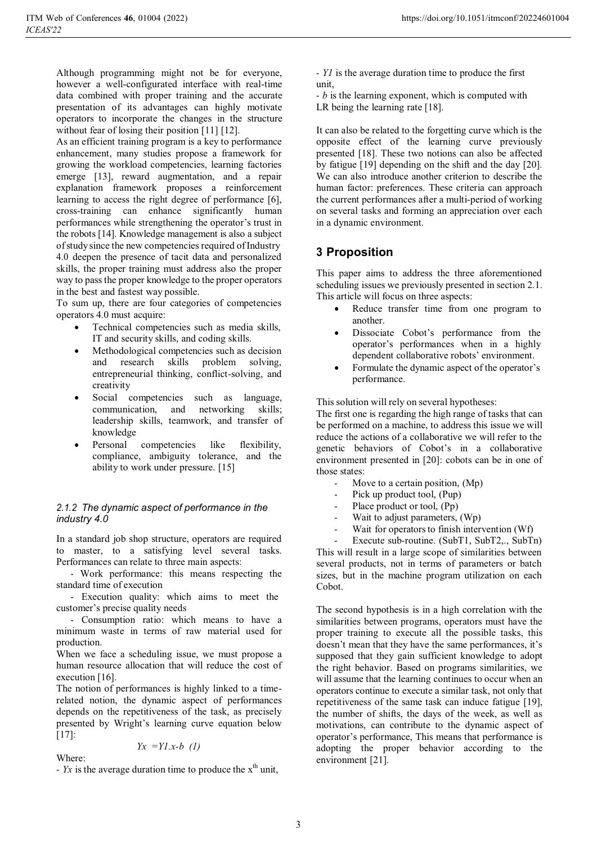Although programming might not be for everyone, however a well-configurated interface with real-time data combined with proper training and the accurate presentation of its advantages can highly motivate operators to incorporate the changes in the structure without fear of losing their position [11] [12].

As an efficient training program is a key to performance enhancement, many studies propose a framework for growing the workload competencies, learning factories emerge [13], reward augmentation, and a repair explanation framework proposes a reinforcement learning to access the right degree of performance [6], cross-training can enhance significantly human performances while strengthening the operator's trust in the robots [14]. Knowledge management is also a subject of study since the new competencies required of Industry 4.0 deepen the presence of tacit data and personalized skills, the proper training must address also the proper way to pass the proper knowledge to the proper operators in the best and fastest way possible.

To sum up, there are four categories of competencies operators 4.0 must acquire:

- $\bullet$  Technical competencies such as media skills, IT and security skills, and coding skills.
- - Methodological competencies such as decision and research skills problem solving, entrepreneurial thinking, conflict-solving, and creativity
- $\bullet$  Social competencies such as language, communication, and networking skills; leadership skills, teamwork, and transfer of knowledge
- $\bullet$  Personal competencies like flexibility, compliance, ambiguity tolerance, and the ability to work under pressure. [15]

#### *2.1.2 The dynamic aspect of performance in the industry 4.0*

In a standard job shop structure, operators are required to master, to a satisfying level several tasks. Performances can relate to three main aspects:

- Work performance: this means respecting the standard time of execution

- Execution quality: which aims to meet the customer's precise quality needs

- Consumption ratio: which means to have a minimum waste in terms of raw material used for production.

When we face a scheduling issue, we must propose a human resource allocation that will reduce the cost of execution [16].

The notion of performances is highly linked to a timerelated notion, the dynamic aspect of performances depends on the repetitiveness of the task, as precisely presented by Wright's learning curve equation below [17]: *Yx =Y1.x-b (1)* 

Where:

 $-Yx$  is the average duration time to produce the  $x<sup>th</sup>$  unit,

- *Y1* is the average duration time to produce the first unit,

- *b* is the learning exponent, which is computed with LR being the learning rate [18].

It can also be related to the forgetting curve which is the opposite effect of the learning curve previously presented [18]. These two notions can also be affected by fatigue [19] depending on the shift and the day [20]. We can also introduce another criterion to describe the human factor: preferences. These criteria can approach the current performances after a multi-period of working on several tasks and forming an appreciation over each in a dynamic environment.

### **3 Proposition**

This paper aims to address the three aforementioned scheduling issues we previously presented in section 2.1. This article will focus on three aspects:

- - Reduce transfer time from one program to another.
- - Dissociate Cobot's performance from the operator's performances when in a highly dependent collaborative robots' environment.
- - Formulate the dynamic aspect of the operator's performance.

This solution will rely on several hypotheses:

The first one is regarding the high range of tasks that can be performed on a machine, to address this issue we will reduce the actions of a collaborative we will refer to the genetic behaviors of Cobot's in a collaborative environment presented in [20]: cobots can be in one of those states:

- Move to a certain position, (Mp)
- Pick up product tool, (Pup)
- Place product or tool, (Pp)
- Wait to adjust parameters, (Wp)
- Wait for operators to finish intervention (Wf)

Execute sub-routine. (SubT1, SubT2,., SubTn) This will result in a large scope of similarities between several products, not in terms of parameters or batch sizes, but in the machine program utilization on each Cobot.

The second hypothesis is in a high correlation with the similarities between programs, operators must have the proper training to execute all the possible tasks, this doesn't mean that they have the same performances, it's supposed that they gain sufficient knowledge to adopt the right behavior. Based on programs similarities, we will assume that the learning continues to occur when an operators continue to execute a similar task, not only that repetitiveness of the same task can induce fatigue [19], the number of shifts, the days of the week, as well as motivations, can contribute to the dynamic aspect of operator's performance, This means that performance is adopting the proper behavior according to the environment [21].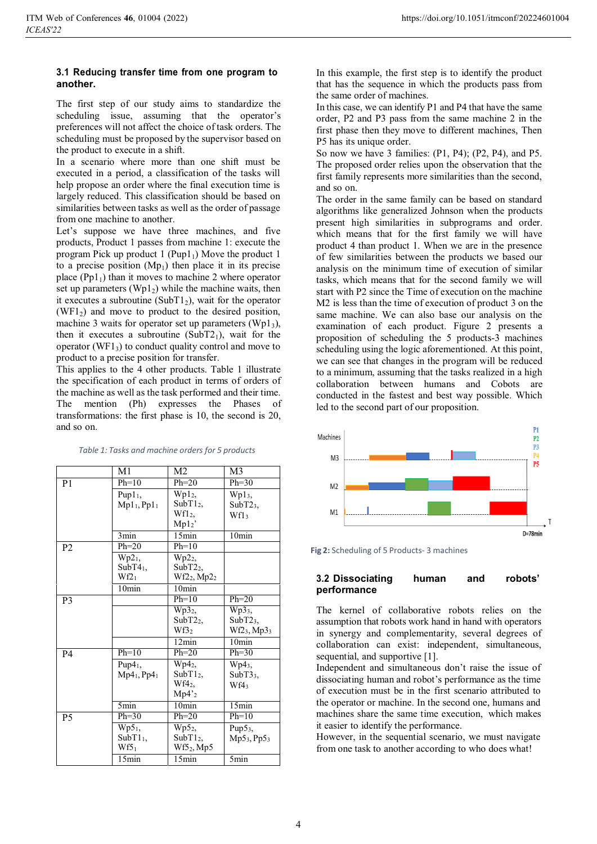#### **3.1 Reducing transfer time from one program to another.**

The first step of our study aims to standardize the scheduling issue, assuming that the operator's preferences will not affect the choice of task orders. The scheduling must be proposed by the supervisor based on the product to execute in a shift.

In a scenario where more than one shift must be executed in a period, a classification of the tasks will help propose an order where the final execution time is largely reduced. This classification should be based on similarities between tasks as well as the order of passage from one machine to another.

Let's suppose we have three machines, and five products, Product 1 passes from machine 1: execute the program Pick up product  $1$  (Pup1<sub>1</sub>) Move the product 1 to a precise position  $(Mp_1)$  then place it in its precise place  $(Pp1<sub>1</sub>)$  than it moves to machine 2 where operator set up parameters ( $Wp1_2$ ) while the machine waits, then it executes a subroutine (SubT1<sub>2</sub>), wait for the operator  $(WF1<sub>2</sub>)$  and move to product to the desired position, machine 3 waits for operator set up parameters  $(Wp1<sub>3</sub>)$ , then it executes a subroutine  $(SubT2<sub>1</sub>)$ , wait for the operator (WF1 $_3$ ) to conduct quality control and move to product to a precise position for transfer.

This applies to the 4 other products. Table 1 illustrate the specification of each product in terms of orders of the machine as well as the task performed and their time. The mention (Ph) expresses the Phases of transformations: the first phase is 10, the second is 20, and so on.

|                | M1                                  | M2                     | M <sub>3</sub>                      |
|----------------|-------------------------------------|------------------------|-------------------------------------|
| P <sub>1</sub> | $Ph=10$                             | $Ph=20$                | $Ph=30$                             |
|                | Pup1 <sub>1</sub>                   | Wpl <sub>2</sub>       | Wp13,                               |
|                | Mpl <sub>1</sub> , Ppl <sub>1</sub> | $SubT12$ ,             | SubT2 <sub>3</sub>                  |
|                |                                     | Wf12,                  | Wf13                                |
|                |                                     | Mpl2'                  |                                     |
|                | 3min                                | 15min                  | 10min                               |
| P <sub>2</sub> | $Ph=20$                             | $Ph=10$                |                                     |
|                | Wp2 <sub>1</sub>                    | Wp2 <sub>2</sub>       |                                     |
|                | SubT4 <sub>1</sub>                  | SubT2 <sub>2</sub>     |                                     |
|                | $Wf2_1$                             | $Wf2_2, Mp2_2$         |                                     |
|                | 10 <sub>min</sub>                   | 10 <sub>min</sub>      |                                     |
| P <sub>3</sub> |                                     | $Ph=10$                | $Ph=20$                             |
|                |                                     | Wp32,                  | $\overline{\text{Wp}}3_3,$          |
|                |                                     | SubT2 <sub>2</sub>     | SubT2 <sub>3</sub> ,                |
|                |                                     | Wf32                   | Wf2 <sub>3</sub> , Mp3 <sub>3</sub> |
|                |                                     | 12min                  | 10min                               |
| <b>P4</b>      | $Ph=10$                             | $Ph=20$                | $Ph=30$                             |
|                | Pup $41$ ,                          | Wp4 <sub>2</sub>       | $Wp4_3$ ,                           |
|                | $Mp41,$ Pp4 <sub>1</sub>            | SubT1 <sub>2</sub>     | SubT3 <sub>3</sub> ,                |
|                |                                     | Wf42,                  | Wf4 <sub>3</sub>                    |
|                |                                     | Mp4'2                  |                                     |
|                | $5\text{min}$                       | 10min                  | 15min                               |
| P <sub>5</sub> | $Ph=30$                             | $Ph=20$                | $Ph=10$                             |
|                | Wp5 <sub>1</sub>                    | Wp52,                  | Pup $53$ ,                          |
|                | SubT1 <sub>1</sub>                  | SubT1 <sub>2</sub>     | $Mp53,$ Pp5 <sub>3</sub>            |
|                | $Wf5_1$                             | Wf5 <sub>2</sub> , Mp5 |                                     |
|                | 15min                               | $\overline{15min}$     | 5min                                |

*Table 1: Tasks and machine orders for 5 products*

In this example, the first step is to identify the product that has the sequence in which the products pass from the same order of machines.

In this case, we can identify P1 and P4 that have the same order, P2 and P3 pass from the same machine 2 in the first phase then they move to different machines, Then P5 has its unique order.

So now we have 3 families: (P1, P4); (P2, P4), and P5. The proposed order relies upon the observation that the first family represents more similarities than the second, and so on.

The order in the same family can be based on standard algorithms like generalized Johnson when the products present high similarities in subprograms and order. which means that for the first family we will have product 4 than product 1. When we are in the presence of few similarities between the products we based our analysis on the minimum time of execution of similar tasks, which means that for the second family we will start with P2 since the Time of execution on the machine M2 is less than the time of execution of product 3 on the same machine. We can also base our analysis on the examination of each product. Figure 2 presents a proposition of scheduling the 5 products-3 machines scheduling using the logic aforementioned. At this point, we can see that changes in the program will be reduced to a minimum, assuming that the tasks realized in a high collaboration between humans and Cobots are conducted in the fastest and best way possible. Which led to the second part of our proposition.



**Fig 2:** Scheduling of 5 Products- 3 machines

#### **3.2 Dissociating human and robots' performance**

The kernel of collaborative robots relies on the assumption that robots work hand in hand with operators in synergy and complementarity, several degrees of collaboration can exist: independent, simultaneous, sequential, and supportive [1].

Independent and simultaneous don't raise the issue of dissociating human and robot's performance as the time of execution must be in the first scenario attributed to the operator or machine. In the second one, humans and machines share the same time execution, which makes it easier to identify the performance.

However, in the sequential scenario, we must navigate from one task to another according to who does what!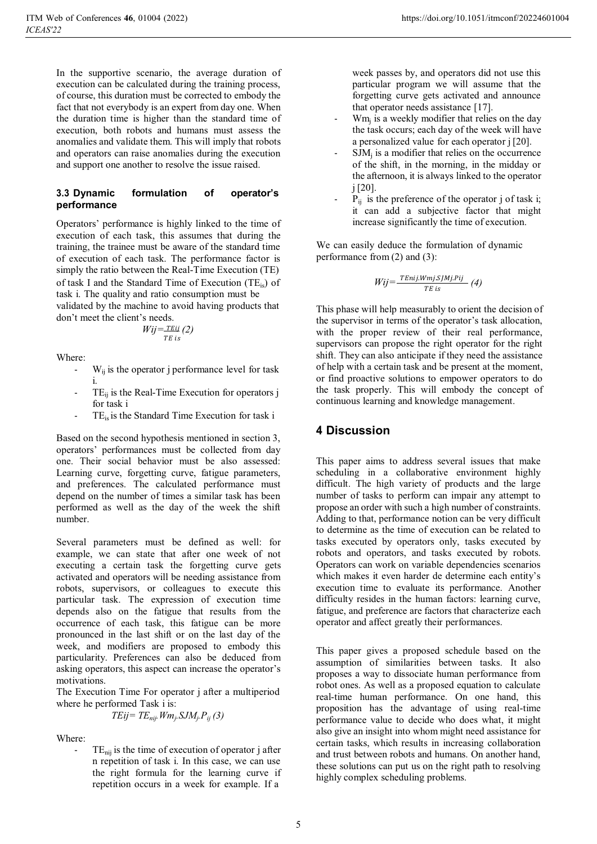In the supportive scenario, the average duration of execution can be calculated during the training process, of course, this duration must be corrected to embody the fact that not everybody is an expert from day one. When the duration time is higher than the standard time of execution, both robots and humans must assess the anomalies and validate them. This will imply that robots and operators can raise anomalies during the execution and support one another to resolve the issue raised.

#### **3.3 Dynamic formulation of operator's performance**

Operators' performance is highly linked to the time of execution of each task, this assumes that during the training, the trainee must be aware of the standard time of execution of each task. The performance factor is simply the ratio between the Real-Time Execution (TE) of task I and the Standard Time of Execution  $(TE_{is})$  of task i. The quality and ratio consumption must be validated by the machine to avoid having products that

don't meet the client's needs.

$$
Wij = \frac{TEij}{TE\ is} (2)
$$

Where:

- $W_{ij}$  is the operator j performance level for task i.
- $TE_{ii}$  is the Real-Time Execution for operators j for task i
- TE<sub>is</sub> is the Standard Time Execution for task i

Based on the second hypothesis mentioned in section 3, operators' performances must be collected from day one. Their social behavior must be also assessed: Learning curve, forgetting curve, fatigue parameters, and preferences. The calculated performance must depend on the number of times a similar task has been performed as well as the day of the week the shift number.

Several parameters must be defined as well: for example, we can state that after one week of not executing a certain task the forgetting curve gets activated and operators will be needing assistance from robots, supervisors, or colleagues to execute this particular task. The expression of execution time depends also on the fatigue that results from the occurrence of each task, this fatigue can be more pronounced in the last shift or on the last day of the week, and modifiers are proposed to embody this particularity. Preferences can also be deduced from asking operators, this aspect can increase the operator's motivations.

The Execution Time For operator j after a multiperiod where he performed Task i is:

$$
TEij = TE_{nij}. Wm_j.SJM_j.P_{ij} (3)
$$

Where:

 $TE<sub>nii</sub>$  is the time of execution of operator j after n repetition of task i. In this case, we can use the right formula for the learning curve if repetition occurs in a week for example. If a

week passes by, and operators did not use this particular program we will assume that the forgetting curve gets activated and announce that operator needs assistance [17].

- Wm<sub>i</sub> is a weekly modifier that relies on the day the task occurs; each day of the week will have a personalized value for each operator j [20].
- $SIM<sub>i</sub>$  is a modifier that relies on the occurrence of the shift, in the morning, in the midday or the afternoon, it is always linked to the operator j [20].
- $P_{ij}$  is the preference of the operator j of task i; it can add a subjective factor that might increase significantly the time of execution.

We can easily deduce the formulation of dynamic performance from (2) and (3):

$$
Wij = \frac{TEnij.Wmj.SJMj.Pij}{TE \text{ is}} \quad (4)
$$

This phase will help measurably to orient the decision of the supervisor in terms of the operator's task allocation, with the proper review of their real performance, supervisors can propose the right operator for the right shift. They can also anticipate if they need the assistance of help with a certain task and be present at the moment, or find proactive solutions to empower operators to do the task properly. This will embody the concept of continuous learning and knowledge management.

### **4 Discussion**

This paper aims to address several issues that make scheduling in a collaborative environment highly difficult. The high variety of products and the large number of tasks to perform can impair any attempt to propose an order with such a high number of constraints. Adding to that, performance notion can be very difficult to determine as the time of execution can be related to tasks executed by operators only, tasks executed by robots and operators, and tasks executed by robots. Operators can work on variable dependencies scenarios which makes it even harder de determine each entity's execution time to evaluate its performance. Another difficulty resides in the human factors: learning curve, fatigue, and preference are factors that characterize each operator and affect greatly their performances.

This paper gives a proposed schedule based on the assumption of similarities between tasks. It also proposes a way to dissociate human performance from robot ones. As well as a proposed equation to calculate real-time human performance. On one hand, this proposition has the advantage of using real-time performance value to decide who does what, it might also give an insight into whom might need assistance for certain tasks, which results in increasing collaboration and trust between robots and humans. On another hand, these solutions can put us on the right path to resolving highly complex scheduling problems.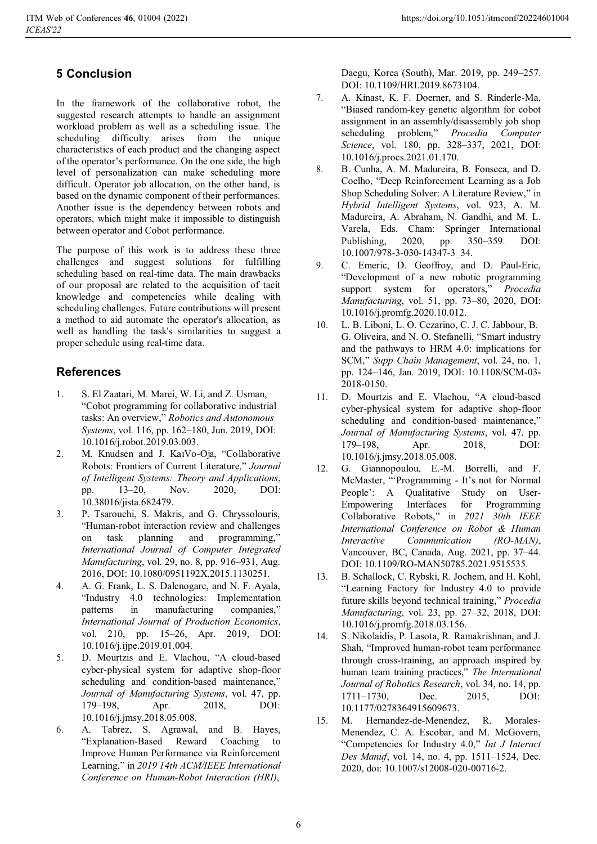# **5 Conclusion**

In the framework of the collaborative robot, the suggested research attempts to handle an assignment workload problem as well as a scheduling issue. The scheduling difficulty arises from the unique characteristics of each product and the changing aspect of the operator's performance. On the one side, the high level of personalization can make scheduling more difficult. Operator job allocation, on the other hand, is based on the dynamic component of their performances. Another issue is the dependency between robots and operators, which might make it impossible to distinguish between operator and Cobot performance.

The purpose of this work is to address these three challenges and suggest solutions for fulfilling scheduling based on real-time data. The main drawbacks of our proposal are related to the acquisition of tacit knowledge and competencies while dealing with scheduling challenges. Future contributions will present a method to aid automate the operator's allocation, as well as handling the task's similarities to suggest a proper schedule using real-time data.

## **References**

- 1. S. El Zaatari, M. Marei, W. Li, and Z. Usman, "Cobot programming for collaborative industrial tasks: An overview," *Robotics and Autonomous Systems*, vol. 116, pp. 162–180, Jun. 2019, DOI: 10.1016/j.robot.2019.03.003.
- 2. M. Knudsen and J. KaiVo-Oja, "Collaborative Robots: Frontiers of Current Literature," *Journal of Intelligent Systems: Theory and Applications*, pp. 13–20, Nov. 2020, DOI: 10.38016/jista.682479.
- 3. P. Tsarouchi, S. Makris, and G. Chryssolouris, "Human-robot interaction review and challenges on task planning and programming," *International Journal of Computer Integrated Manufacturing*, vol. 29, no. 8, pp. 916–931, Aug. 2016, DOI: 10.1080/0951192X.2015.1130251.
- 4. A. G. Frank, L. S. Dalenogare, and N. F. Ayala, "Industry 4.0 technologies: Implementation patterns in manufacturing companies," *International Journal of Production Economics*, vol. 210, pp. 15–26, Apr. 2019, DOI: 10.1016/j.ijpe.2019.01.004.
- 5. D. Mourtzis and E. Vlachou, "A cloud-based cyber-physical system for adaptive shop-floor scheduling and condition-based maintenance," *Journal of Manufacturing Systems*, vol. 47, pp. 179–198, Apr. 2018, DOI: 10.1016/j.jmsy.2018.05.008.
- 6. A. Tabrez, S. Agrawal, and B. Hayes, "Explanation-Based Reward Coaching to Improve Human Performance via Reinforcement Learning," in *2019 14th ACM/IEEE International Conference on Human-Robot Interaction (HRI)*,

Daegu, Korea (South), Mar. 2019, pp. 249–257. DOI: 10.1109/HRI.2019.8673104.

- 7. A. Kinast, K. F. Doerner, and S. Rinderle-Ma, "Biased random-key genetic algorithm for cobot assignment in an assembly/disassembly job shop scheduling problem," *Procedia Computer Science*, vol. 180, pp. 328–337, 2021, DOI: 10.1016/j.procs.2021.01.170.
- 8. B. Cunha, A. M. Madureira, B. Fonseca, and D. Coelho, "Deep Reinforcement Learning as a Job Shop Scheduling Solver: A Literature Review," in *Hybrid Intelligent Systems*, vol. 923, A. M. Madureira, A. Abraham, N. Gandhi, and M. L. Varela, Eds. Cham: Springer International Publishing, 2020, pp. 350–359. DOI: 10.1007/978-3-030-14347-3\_34.
- 9. C. Emeric, D. Geoffroy, and D. Paul-Eric, "Development of a new robotic programming support system for operators," *Procedia Manufacturing*, vol. 51, pp. 73–80, 2020, DOI: 10.1016/j.promfg.2020.10.012.
- 10. L. B. Liboni, L. O. Cezarino, C. J. C. Jabbour, B. G. Oliveira, and N. O. Stefanelli, "Smart industry and the pathways to HRM 4.0: implications for SCM," *Supp Chain Management*, vol. 24, no. 1, pp. 124–146, Jan. 2019, DOI: 10.1108/SCM-03- 2018-0150.
- 11. D. Mourtzis and E. Vlachou, "A cloud-based cyber-physical system for adaptive shop-floor scheduling and condition-based maintenance," *Journal of Manufacturing Systems*, vol. 47, pp. 179–198, Apr. 2018, DOI: 10.1016/j.jmsy.2018.05.008.
- 12. G. Giannopoulou, E.-M. Borrelli, and F. McMaster, "'Programming - It's not for Normal People': A Qualitative Study on User-Empowering Interfaces for Programming Collaborative Robots," in *2021 30th IEEE International Conference on Robot & Human Interactive Communication (RO-MAN)*, Vancouver, BC, Canada, Aug. 2021, pp. 37–44. DOI: 10.1109/RO-MAN50785.2021.9515535.
- 13. B. Schallock, C. Rybski, R. Jochem, and H. Kohl, "Learning Factory for Industry 4.0 to provide future skills beyond technical training," *Procedia Manufacturing*, vol. 23, pp. 27–32, 2018, DOI: 10.1016/j.promfg.2018.03.156.
- 14. S. Nikolaidis, P. Lasota, R. Ramakrishnan, and J. Shah, "Improved human-robot team performance through cross-training, an approach inspired by human team training practices," *The International Journal of Robotics Research*, vol. 34, no. 14, pp. 1711–1730, Dec. 2015, DOI: 10.1177/0278364915609673.
- 15. M. Hernandez-de-Menendez, R. Morales-Menendez, C. A. Escobar, and M. McGovern, "Competencies for Industry 4.0," *Int J Interact Des Manuf*, vol. 14, no. 4, pp. 1511–1524, Dec. 2020, doi: 10.1007/s12008-020-00716-2.